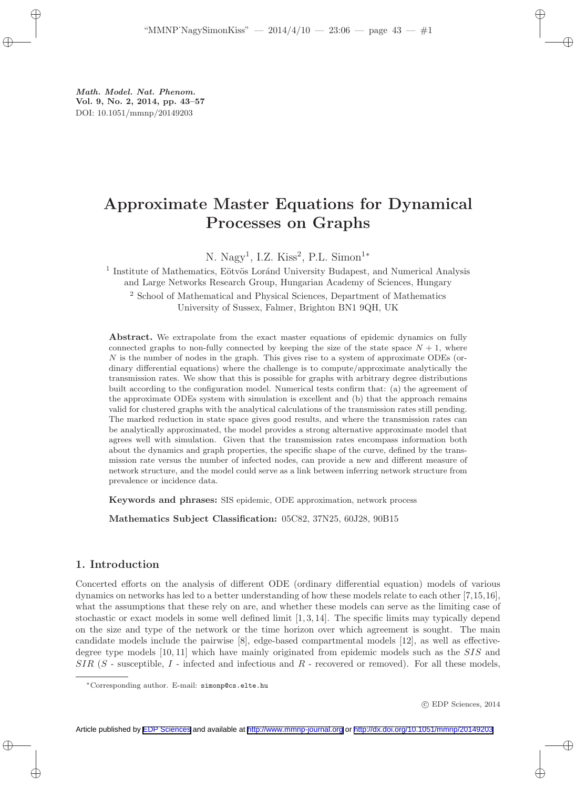Math. Model. Nat. Phenom. Vol. 9, No. 2, 2014, pp. 43–57 DOI: 10.1051/mmnp/20149203

# Approximate Master Equations for Dynamical Processes on Graphs

N.  $\text{Nagy}^1$ , I.Z. Kiss<sup>2</sup>, P.L. Simon<sup>1\*</sup>

<sup>1</sup> Institute of Mathematics, Eötvös Loránd University Budapest, and Numerical Analysis and Large Networks Research Group, Hungarian Academy of Sciences, Hungary <sup>2</sup> School of Mathematical and Physical Sciences, Department of Mathematics University of Sussex, Falmer, Brighton BN1 9QH, UK

Abstract. We extrapolate from the exact master equations of epidemic dynamics on fully connected graphs to non-fully connected by keeping the size of the state space  $N + 1$ , where N is the number of nodes in the graph. This gives rise to a system of approximate ODEs (ordinary differential equations) where the challenge is to compute/approximate analytically the transmission rates. We show that this is possible for graphs with arbitrary degree distributions built according to the configuration model. Numerical tests confirm that: (a) the agreement of the approximate ODEs system with simulation is excellent and (b) that the approach remains valid for clustered graphs with the analytical calculations of the transmission rates still pending. The marked reduction in state space gives good results, and where the transmission rates can be analytically approximated, the model provides a strong alternative approximate model that agrees well with simulation. Given that the transmission rates encompass information both about the dynamics and graph properties, the specific shape of the curve, defined by the transmission rate versus the number of infected nodes, can provide a new and different measure of network structure, and the model could serve as a link between inferring network structure from prevalence or incidence data.

Keywords and phrases: SIS epidemic, ODE approximation, network process

Mathematics Subject Classification: 05C82, 37N25, 60J28, 90B15

# 1. Introduction

Concerted efforts on the analysis of different ODE (ordinary differential equation) models of various dynamics on networks has led to a better understanding of how these models relate to each other [7,15,16], what the assumptions that these rely on are, and whether these models can serve as the limiting case of stochastic or exact models in some well defined limit  $[1, 3, 14]$ . The specific limits may typically depend on the size and type of the network or the time horizon over which agreement is sought. The main candidate models include the pairwise [8], edge-based compartmental models [12], as well as effectivedegree type models [10, 11] which have mainly originated from epidemic models such as the SIS and  $SIR$  (S - susceptible, I - infected and infectious and  $R$  - recovered or removed). For all these models,

<sup>∗</sup>Corresponding author. E-mail: simonp@cs.elte.hu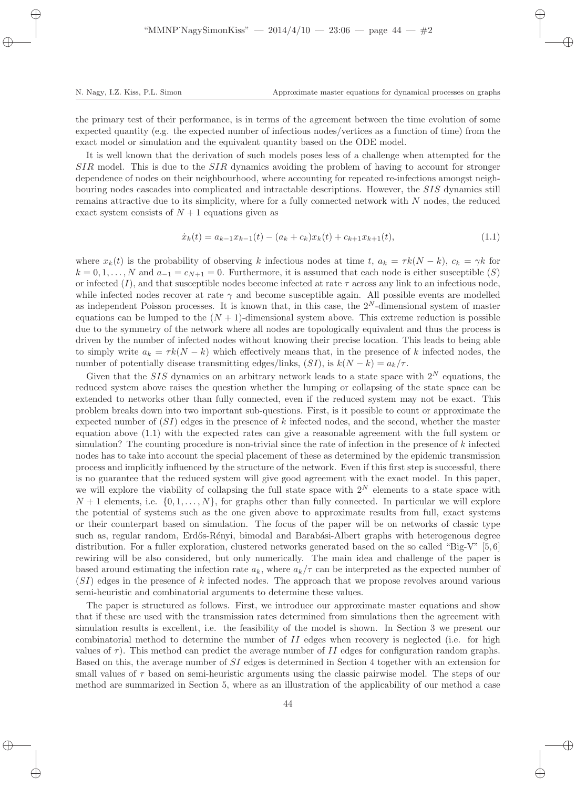the primary test of their performance, is in terms of the agreement between the time evolution of some expected quantity (e.g. the expected number of infectious nodes/vertices as a function of time) from the exact model or simulation and the equivalent quantity based on the ODE model.

It is well known that the derivation of such models poses less of a challenge when attempted for the SIR model. This is due to the SIR dynamics avoiding the problem of having to account for stronger dependence of nodes on their neighbourhood, where accounting for repeated re-infections amongst neighbouring nodes cascades into complicated and intractable descriptions. However, the SIS dynamics still remains attractive due to its simplicity, where for a fully connected network with N nodes, the reduced exact system consists of  $N+1$  equations given as

$$
\dot{x}_k(t) = a_{k-1}x_{k-1}(t) - (a_k + c_k)x_k(t) + c_{k+1}x_{k+1}(t),\tag{1.1}
$$

where  $x_k(t)$  is the probability of observing k infectious nodes at time t,  $a_k = \tau k(N - k)$ ,  $c_k = \gamma k$  for  $k = 0, 1, \ldots, N$  and  $a_{-1} = c_{N+1} = 0$ . Furthermore, it is assumed that each node is either susceptible  $(S)$ or infected  $(I)$ , and that susceptible nodes become infected at rate  $\tau$  across any link to an infectious node, while infected nodes recover at rate  $\gamma$  and become susceptible again. All possible events are modelled as independent Poisson processes. It is known that, in this case, the  $2^N$ -dimensional system of master equations can be lumped to the  $(N + 1)$ -dimensional system above. This extreme reduction is possible due to the symmetry of the network where all nodes are topologically equivalent and thus the process is driven by the number of infected nodes without knowing their precise location. This leads to being able to simply write  $a_k = \tau k(N - k)$  which effectively means that, in the presence of k infected nodes, the number of potentially disease transmitting edges/links,  $(SI)$ , is  $k(N - k) = a_k/\tau$ .

Given that the SIS dynamics on an arbitrary network leads to a state space with  $2^N$  equations, the reduced system above raises the question whether the lumping or collapsing of the state space can be extended to networks other than fully connected, even if the reduced system may not be exact. This problem breaks down into two important sub-questions. First, is it possible to count or approximate the expected number of  $(SI)$  edges in the presence of k infected nodes, and the second, whether the master equation above (1.1) with the expected rates can give a reasonable agreement with the full system or simulation? The counting procedure is non-trivial since the rate of infection in the presence of  $k$  infected nodes has to take into account the special placement of these as determined by the epidemic transmission process and implicitly influenced by the structure of the network. Even if this first step is successful, there is no guarantee that the reduced system will give good agreement with the exact model. In this paper, we will explore the viability of collapsing the full state space with  $2^N$  elements to a state space with  $N+1$  elements, i.e.  $\{0, 1, \ldots, N\}$ , for graphs other than fully connected. In particular we will explore the potential of systems such as the one given above to approximate results from full, exact systems or their counterpart based on simulation. The focus of the paper will be on networks of classic type such as, regular random, Erdős-Rényi, bimodal and Barabási-Albert graphs with heterogenous degree distribution. For a fuller exploration, clustered networks generated based on the so called "Big-V" [5,6] rewiring will be also considered, but only numerically. The main idea and challenge of the paper is based around estimating the infection rate  $a_k$ , where  $a_k/\tau$  can be interpreted as the expected number of (SI) edges in the presence of k infected nodes. The approach that we propose revolves around various semi-heuristic and combinatorial arguments to determine these values.

The paper is structured as follows. First, we introduce our approximate master equations and show that if these are used with the transmission rates determined from simulations then the agreement with simulation results is excellent, i.e. the feasibility of the model is shown. In Section 3 we present our combinatorial method to determine the number of II edges when recovery is neglected (i.e. for high values of  $\tau$ ). This method can predict the average number of II edges for configuration random graphs. Based on this, the average number of SI edges is determined in Section 4 together with an extension for small values of  $\tau$  based on semi-heuristic arguments using the classic pairwise model. The steps of our method are summarized in Section 5, where as an illustration of the applicability of our method a case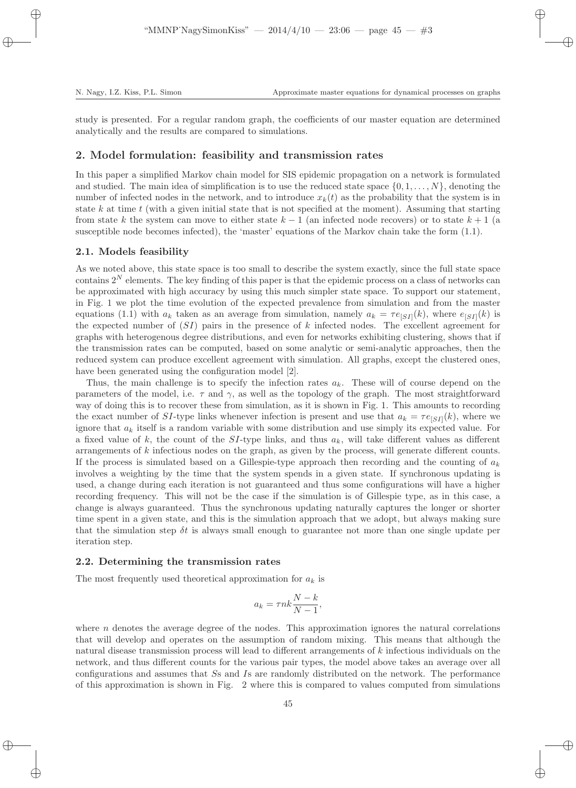study is presented. For a regular random graph, the coefficients of our master equation are determined analytically and the results are compared to simulations.

#### 2. Model formulation: feasibility and transmission rates

In this paper a simplified Markov chain model for SIS epidemic propagation on a network is formulated and studied. The main idea of simplification is to use the reduced state space  $\{0, 1, \ldots, N\}$ , denoting the number of infected nodes in the network, and to introduce  $x<sub>k</sub>(t)$  as the probability that the system is in state k at time t (with a given initial state that is not specified at the moment). Assuming that starting from state k the system can move to either state  $k-1$  (an infected node recovers) or to state  $k+1$  (a susceptible node becomes infected), the 'master' equations of the Markov chain take the form (1.1).

#### 2.1. Models feasibility

As we noted above, this state space is too small to describe the system exactly, since the full state space contains  $2^N$  elements. The key finding of this paper is that the epidemic process on a class of networks can be approximated with high accuracy by using this much simpler state space. To support our statement, in Fig. 1 we plot the time evolution of the expected prevalence from simulation and from the master equations (1.1) with  $a_k$  taken as an average from simulation, namely  $a_k = \tau e_{[S]}(k)$ , where  $e_{[S]}(k)$  is the expected number of  $(SI)$  pairs in the presence of k infected nodes. The excellent agreement for graphs with heterogenous degree distributions, and even for networks exhibiting clustering, shows that if the transmission rates can be computed, based on some analytic or semi-analytic approaches, then the reduced system can produce excellent agreement with simulation. All graphs, except the clustered ones, have been generated using the configuration model [2].

Thus, the main challenge is to specify the infection rates  $a_k$ . These will of course depend on the parameters of the model, i.e.  $\tau$  and  $\gamma$ , as well as the topology of the graph. The most straightforward way of doing this is to recover these from simulation, as it is shown in Fig. 1. This amounts to recording the exact number of SI-type links whenever infection is present and use that  $a_k = \tau e_{[S]}(k)$ , where we ignore that  $a_k$  itself is a random variable with some distribution and use simply its expected value. For a fixed value of k, the count of the SI-type links, and thus  $a_k$ , will take different values as different arrangements of k infectious nodes on the graph, as given by the process, will generate different counts. If the process is simulated based on a Gillespie-type approach then recording and the counting of  $a_k$ involves a weighting by the time that the system spends in a given state. If synchronous updating is used, a change during each iteration is not guaranteed and thus some configurations will have a higher recording frequency. This will not be the case if the simulation is of Gillespie type, as in this case, a change is always guaranteed. Thus the synchronous updating naturally captures the longer or shorter time spent in a given state, and this is the simulation approach that we adopt, but always making sure that the simulation step  $\delta t$  is always small enough to guarantee not more than one single update per iteration step.

#### 2.2. Determining the transmission rates

The most frequently used theoretical approximation for  $a_k$  is

$$
a_k = \tau n k \frac{N-k}{N-1},
$$

where  $n$  denotes the average degree of the nodes. This approximation ignores the natural correlations that will develop and operates on the assumption of random mixing. This means that although the natural disease transmission process will lead to different arrangements of k infectious individuals on the network, and thus different counts for the various pair types, the model above takes an average over all configurations and assumes that Ss and Is are randomly distributed on the network. The performance of this approximation is shown in Fig. 2 where this is compared to values computed from simulations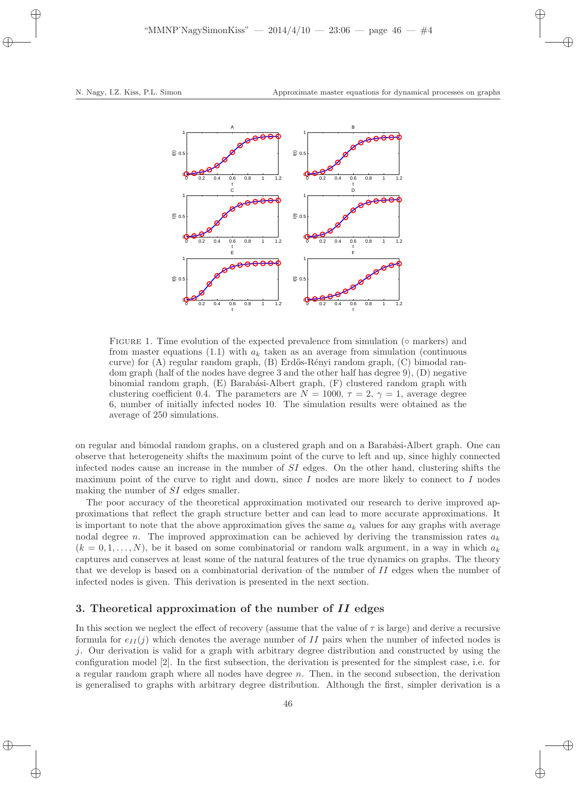

FIGURE 1. Time evolution of the expected prevalence from simulation ( $\circ$  markers) and from master equations (1.1) with  $a_k$  taken as an average from simulation (continuous curve) for  $(A)$  regular random graph,  $(B)$  Erdős-Rényi random graph,  $(C)$  bimodal random graph (half of the nodes have degree 3 and the other half has degree 9), (D) negative binomial random graph,  $(E)$  Barabási-Albert graph,  $(F)$  clustered random graph with clustering coefficient 0.4. The parameters are  $N = 1000$ ,  $\tau = 2$ ,  $\gamma = 1$ , average degree 6, number of initially infected nodes 10. The simulation results were obtained as the average of 250 simulations.

on regular and bimodal random graphs, on a clustered graph and on a Barabási-Albert graph. One can observe that heterogeneity shifts the maximum point of the curve to left and up, since highly connected infected nodes cause an increase in the number of SI edges. On the other hand, clustering shifts the maximum point of the curve to right and down, since  $I$  nodes are more likely to connect to  $I$  nodes making the number of SI edges smaller.

The poor accuracy of the theoretical approximation motivated our research to derive improved approximations that reflect the graph structure better and can lead to more accurate approximations. It is important to note that the above approximation gives the same  $a_k$  values for any graphs with average nodal degree n. The improved approximation can be achieved by deriving the transmission rates  $a_k$  $(k = 0, 1, \ldots, N)$ , be it based on some combinatorial or random walk argument, in a way in which  $a_k$ captures and conserves at least some of the natural features of the true dynamics on graphs. The theory that we develop is based on a combinatorial derivation of the number of II edges when the number of infected nodes is given. This derivation is presented in the next section.

#### 3. Theoretical approximation of the number of II edges

In this section we neglect the effect of recovery (assume that the value of  $\tau$  is large) and derive a recursive formula for  $e_{II}(j)$  which denotes the average number of II pairs when the number of infected nodes is j. Our derivation is valid for a graph with arbitrary degree distribution and constructed by using the configuration model [2]. In the first subsection, the derivation is presented for the simplest case, i.e. for a regular random graph where all nodes have degree n. Then, in the second subsection, the derivation is generalised to graphs with arbitrary degree distribution. Although the first, simpler derivation is a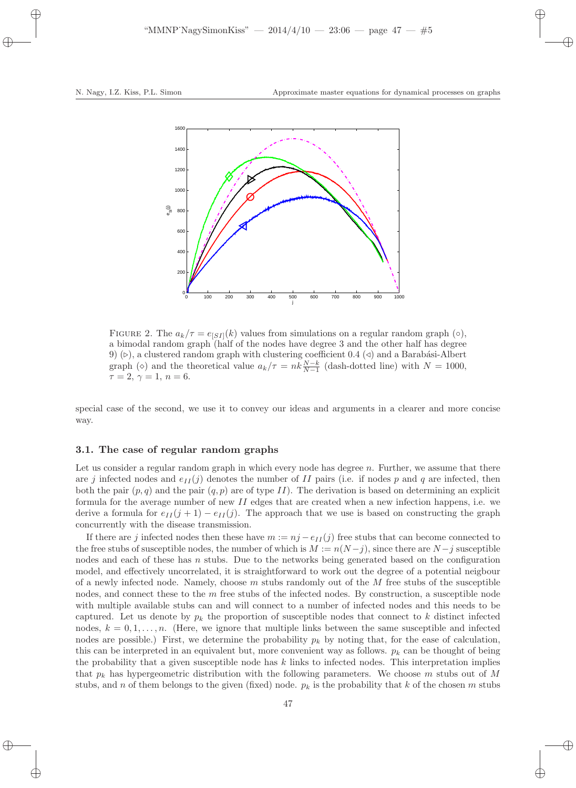

FIGURE 2. The  $a_k/\tau = e_{[SI]}(k)$  values from simulations on a regular random graph (◦), a bimodal random graph (half of the nodes have degree 3 and the other half has degree 9) (⊳), a clustered random graph with clustering coefficient 0.4 (⊲) and a Barabási-Albert graph ( $\diamond$ ) and the theoretical value  $a_k/\tau = nk\frac{N-k}{N-1}$  (dash-dotted line) with  $N = 1000$ ,  $\tau = 2, \, \gamma = 1, \, n = 6.$ 

special case of the second, we use it to convey our ideas and arguments in a clearer and more concise way.

#### 3.1. The case of regular random graphs

Let us consider a regular random graph in which every node has degree  $n$ . Further, we assume that there are j infected nodes and  $e_{II}(j)$  denotes the number of II pairs (i.e. if nodes p and q are infected, then both the pair  $(p, q)$  and the pair  $(q, p)$  are of type II). The derivation is based on determining an explicit formula for the average number of new II edges that are created when a new infection happens, i.e. we derive a formula for  $e_{II}(j + 1) - e_{II}(j)$ . The approach that we use is based on constructing the graph concurrently with the disease transmission.

If there are j infected nodes then these have  $m := nj - e_{II}(j)$  free stubs that can become connected to the free stubs of susceptible nodes, the number of which is  $M := n(N - j)$ , since there are  $N - j$  susceptible nodes and each of these has  $n$  stubs. Due to the networks being generated based on the configuration model, and effectively uncorrelated, it is straightforward to work out the degree of a potential neigbour of a newly infected node. Namely, choose  $m$  stubs randomly out of the  $M$  free stubs of the susceptible nodes, and connect these to the  $m$  free stubs of the infected nodes. By construction, a susceptible node with multiple available stubs can and will connect to a number of infected nodes and this needs to be captured. Let us denote by  $p_k$  the proportion of susceptible nodes that connect to k distinct infected nodes,  $k = 0, 1, \ldots, n$ . (Here, we ignore that multiple links between the same susceptible and infected nodes are possible.) First, we determine the probability  $p_k$  by noting that, for the ease of calculation, this can be interpreted in an equivalent but, more convenient way as follows.  $p_k$  can be thought of being the probability that a given susceptible node has  $k$  links to infected nodes. This interpretation implies that  $p_k$  has hypergeometric distribution with the following parameters. We choose m stubs out of M stubs, and n of them belongs to the given (fixed) node.  $p_k$  is the probability that k of the chosen m stubs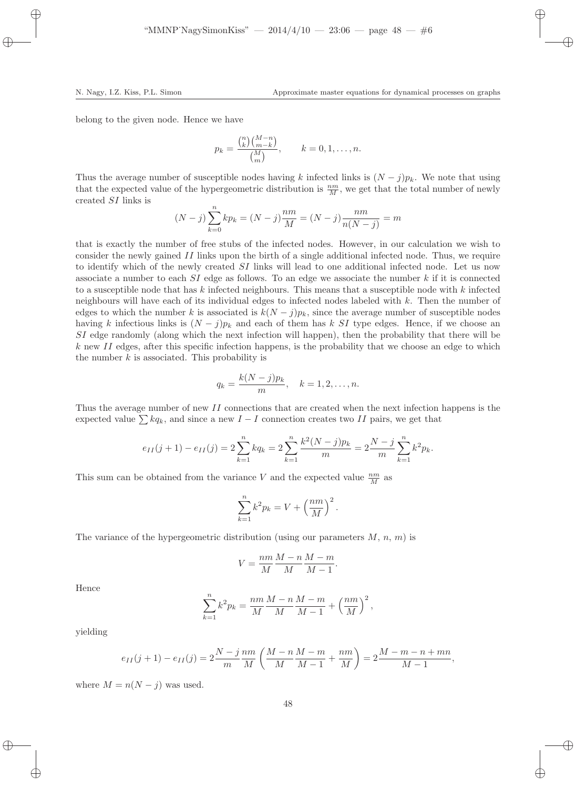belong to the given node. Hence we have

$$
p_k = \frac{\binom{n}{k} \binom{M-n}{m-k}}{\binom{M}{m}}, \qquad k = 0, 1, \dots, n.
$$

Thus the average number of susceptible nodes having k infected links is  $(N - j)p_k$ . We note that using that the expected value of the hypergeometric distribution is  $\frac{nm}{M}$ , we get that the total number of newly created SI links is

$$
(N-j)\sum_{k=0}^{n} kp_k = (N-j)\frac{nm}{M} = (N-j)\frac{nm}{n(N-j)} = m
$$

that is exactly the number of free stubs of the infected nodes. However, in our calculation we wish to consider the newly gained II links upon the birth of a single additional infected node. Thus, we require to identify which of the newly created SI links will lead to one additional infected node. Let us now associate a number to each  $SI$  edge as follows. To an edge we associate the number k if it is connected to a susceptible node that has  $k$  infected neighbours. This means that a susceptible node with  $k$  infected neighbours will have each of its individual edges to infected nodes labeled with k. Then the number of edges to which the number k is associated is  $k(N - j)p_k$ , since the average number of susceptible nodes having k infectious links is  $(N - j)p_k$  and each of them has k SI type edges. Hence, if we choose an SI edge randomly (along which the next infection will happen), then the probability that there will be  $k$  new II edges, after this specific infection happens, is the probability that we choose an edge to which the number  $k$  is associated. This probability is

$$
q_k = \frac{k(N-j)p_k}{m}, \quad k = 1, 2, \dots, n.
$$

Thus the average number of new II connections that are created when the next infection happens is the expected value  $\sum kq_k$ , and since a new  $I - I$  connection creates two II pairs, we get that

$$
e_{II}(j+1) - e_{II}(j) = 2\sum_{k=1}^{n} kq_k = 2\sum_{k=1}^{n} \frac{k^2(N-j)p_k}{m} = 2\frac{N-j}{m}\sum_{k=1}^{n} k^2 p_k.
$$

This sum can be obtained from the variance V and the expected value  $\frac{nm}{M}$  as

$$
\sum_{k=1}^{n} k^2 p_k = V + \left(\frac{nm}{M}\right)^2.
$$

The variance of the hypergeometric distribution (using our parameters  $M, n, m$ ) is

$$
V = \frac{nm}{M} \frac{M-n}{M} \frac{M-m}{M-1}.
$$

Hence

$$
\sum_{k=1}^{n} k^{2} p_{k} = \frac{nm}{M} \frac{M-n}{M} \frac{M-m}{M-1} + \left(\frac{nm}{M}\right)^{2},
$$

yielding

$$
e_{II}(j + 1) - e_{II}(j) = 2\frac{N - j}{m} \frac{nm}{M} \left( \frac{M - n}{M} \frac{M - m}{M - 1} + \frac{nm}{M} \right) = 2\frac{M - m - n + mn}{M - 1},
$$

where  $M = n(N - j)$  was used.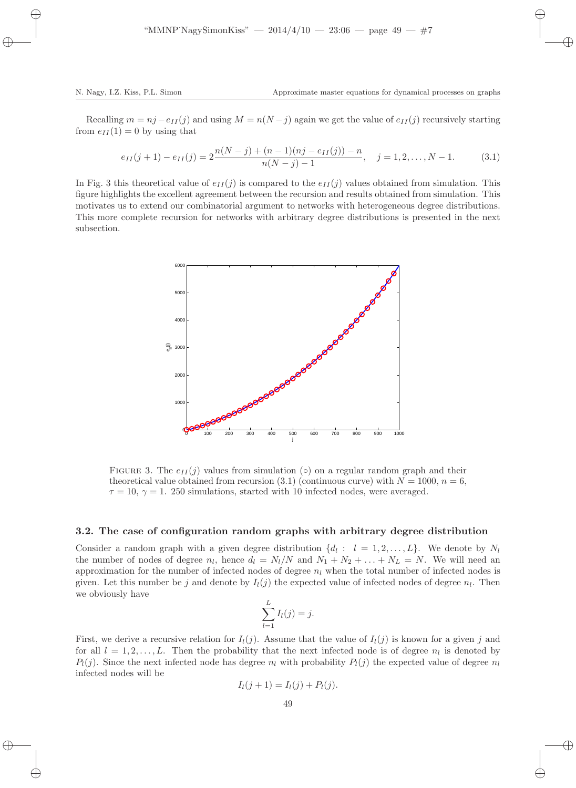Recalling  $m = nj - e_{II}(j)$  and using  $M = n(N - j)$  again we get the value of  $e_{II}(j)$  recursively starting from  $e_{II}(1) = 0$  by using that

$$
e_{II}(j+1) - e_{II}(j) = 2\frac{n(N-j) + (n-1)(nj - e_{II}(j)) - n}{n(N-j) - 1}, \quad j = 1, 2, ..., N-1.
$$
 (3.1)

In Fig. 3 this theoretical value of  $e_{II}(j)$  is compared to the  $e_{II}(j)$  values obtained from simulation. This figure highlights the excellent agreement between the recursion and results obtained from simulation. This motivates us to extend our combinatorial argument to networks with heterogeneous degree distributions. This more complete recursion for networks with arbitrary degree distributions is presented in the next subsection.



FIGURE 3. The  $e_{II}(j)$  values from simulation ( $\circ$ ) on a regular random graph and their theoretical value obtained from recursion (3.1) (continuous curve) with  $N = 1000$ ,  $n = 6$ ,  $\tau = 10, \gamma = 1$ . 250 simulations, started with 10 infected nodes, were averaged.

#### 3.2. The case of configuration random graphs with arbitrary degree distribution

Consider a random graph with a given degree distribution  $\{d_l : l = 1, 2, ..., L\}$ . We denote by  $N_l$ the number of nodes of degree  $n_l$ , hence  $d_l = N_l/N$  and  $N_1 + N_2 + \ldots + N_L = N$ . We will need an approximation for the number of infected nodes of degree  $n_l$  when the total number of infected nodes is given. Let this number be j and denote by  $I_l(j)$  the expected value of infected nodes of degree  $n_l$ . Then we obviously have

$$
\sum_{l=1}^{L} I_l(j) = j.
$$

First, we derive a recursive relation for  $I_l(j)$ . Assume that the value of  $I_l(j)$  is known for a given j and for all  $l = 1, 2, \ldots, L$ . Then the probability that the next infected node is of degree  $n_l$  is denoted by  $P_l(j)$ . Since the next infected node has degree  $n_l$  with probability  $P_l(j)$  the expected value of degree  $n_l$ infected nodes will be

$$
I_l(j+1) = I_l(j) + P_l(j).
$$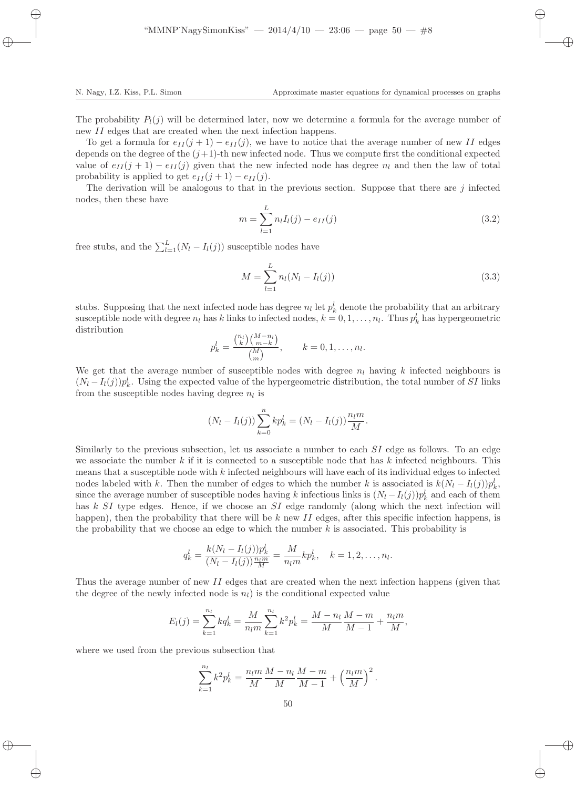The probability  $P_l(i)$  will be determined later, now we determine a formula for the average number of new II edges that are created when the next infection happens.

To get a formula for  $e_{II}(j + 1) - e_{II}(j)$ , we have to notice that the average number of new II edges depends on the degree of the  $(j+1)$ -th new infected node. Thus we compute first the conditional expected value of  $e_{II}(j + 1) - e_{II}(j)$  given that the new infected node has degree  $n_l$  and then the law of total probability is applied to get  $e_{II}(j + 1) - e_{II}(j)$ .

The derivation will be analogous to that in the previous section. Suppose that there are  $j$  infected nodes, then these have

$$
m = \sum_{l=1}^{L} n_l I_l(j) - e_{II}(j)
$$
\n(3.2)

free stubs, and the  $\sum_{l=1}^{L} (N_l - I_l(j))$  susceptible nodes have

$$
M = \sum_{l=1}^{L} n_l (N_l - I_l(j))
$$
\n(3.3)

stubs. Supposing that the next infected node has degree  $n_l$  let  $p_k^l$  denote the probability that an arbitrary susceptible node with degree  $n_l$  has k links to infected nodes,  $k = 0, 1, ..., n_l$ . Thus  $p_k^l$  has hypergeometric distribution

$$
p_k^l = \frac{\binom{n_l}{k}\binom{M-n_l}{m-k}}{\binom{M}{m}}, \qquad k = 0, 1, \dots, n_l.
$$

We get that the average number of susceptible nodes with degree  $n_l$  having k infected neighbours is  $(N_l - I_l(j))p_k^l$ . Using the expected value of the hypergeometric distribution, the total number of SI links from the susceptible nodes having degree  $n_l$  is

$$
(N_l - I_l(j)) \sum_{k=0}^{n} k p_k^l = (N_l - I_l(j)) \frac{n_l m}{M}.
$$

Similarly to the previous subsection, let us associate a number to each SI edge as follows. To an edge we associate the number k if it is connected to a susceptible node that has k infected neighbours. This means that a susceptible node with  $k$  infected neighbours will have each of its individual edges to infected nodes labeled with k. Then the number of edges to which the number k is associated is  $k(N_l - I_l(j))p_k^l$ , since the average number of susceptible nodes having k infectious links is  $(N_l - I_l(j))p_k^l$  and each of them has k SI type edges. Hence, if we choose an SI edge randomly (along which the next infection will happen), then the probability that there will be  $k$  new  $II$  edges, after this specific infection happens, is the probability that we choose an edge to which the number  $k$  is associated. This probability is

$$
q_k^l = \frac{k(N_l - I_l(j))p_k^l}{(N_l - I_l(j))\frac{n_l m}{M}} = \frac{M}{n_l m} k p_k^l, \quad k = 1, 2, \dots, n_l.
$$

Thus the average number of new II edges that are created when the next infection happens (given that the degree of the newly infected node is  $n_l$ ) is the conditional expected value

$$
E_l(j) = \sum_{k=1}^{n_l} kq_k^l = \frac{M}{n_l m} \sum_{k=1}^{n_l} k^2 p_k^l = \frac{M - n_l}{M} \frac{M - m}{M - 1} + \frac{n_l m}{M},
$$

where we used from the previous subsection that

$$
\sum_{k=1}^{n_l} k^2 p_k^l = \frac{n_l m}{M} \frac{M - n_l M - m}{M - 1} + \left(\frac{n_l m}{M}\right)^2.
$$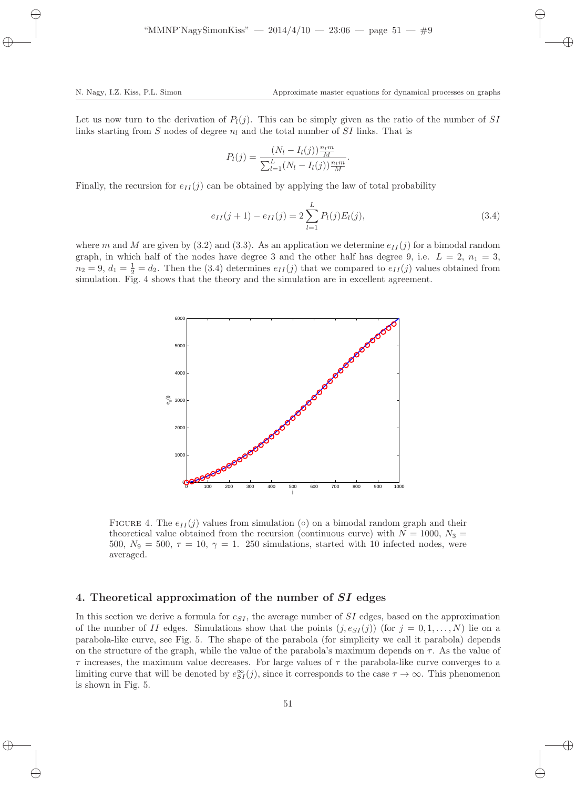Let us now turn to the derivation of  $P_l(i)$ . This can be simply given as the ratio of the number of SI links starting from S nodes of degree  $n_l$  and the total number of SI links. That is

$$
P_l(j) = \frac{(N_l - I_l(j))\frac{n_l m}{M}}{\sum_{l=1}^{L} (N_l - I_l(j))\frac{n_l m}{M}}
$$

Finally, the recursion for  $e_{II}(j)$  can be obtained by applying the law of total probability

$$
e_{II}(j+1) - e_{II}(j) = 2\sum_{l=1}^{L} P_l(j)E_l(j),
$$
\n(3.4)

.

where m and M are given by (3.2) and (3.3). As an application we determine  $e_{II}(j)$  for a bimodal random graph, in which half of the nodes have degree 3 and the other half has degree 9, i.e.  $L = 2$ ,  $n_1 = 3$ ,  $n_2 = 9, d_1 = \frac{1}{2} = d_2$ . Then the (3.4) determines  $e_{II}(j)$  that we compared to  $e_{II}(j)$  values obtained from simulation. Fig. 4 shows that the theory and the simulation are in excellent agreement.



FIGURE 4. The  $e_{II}(j)$  values from simulation ( $\circ$ ) on a bimodal random graph and their theoretical value obtained from the recursion (continuous curve) with  $N = 1000, N_3 =$ 500,  $N_9 = 500$ ,  $\tau = 10$ ,  $\gamma = 1$ . 250 simulations, started with 10 infected nodes, were averaged.

### 4. Theoretical approximation of the number of SI edges

In this section we derive a formula for  $e_{SI}$ , the average number of SI edges, based on the approximation of the number of II edges. Simulations show that the points  $(j, e_{SI}(j))$  (for  $j = 0, 1, ..., N$ ) lie on a parabola-like curve, see Fig. 5. The shape of the parabola (for simplicity we call it parabola) depends on the structure of the graph, while the value of the parabola's maximum depends on  $\tau$ . As the value of  $\tau$  increases, the maximum value decreases. For large values of  $\tau$  the parabola-like curve converges to a limiting curve that will be denoted by  $e_{SI}^{\infty}(j)$ , since it corresponds to the case  $\tau \to \infty$ . This phenomenon is shown in Fig. 5.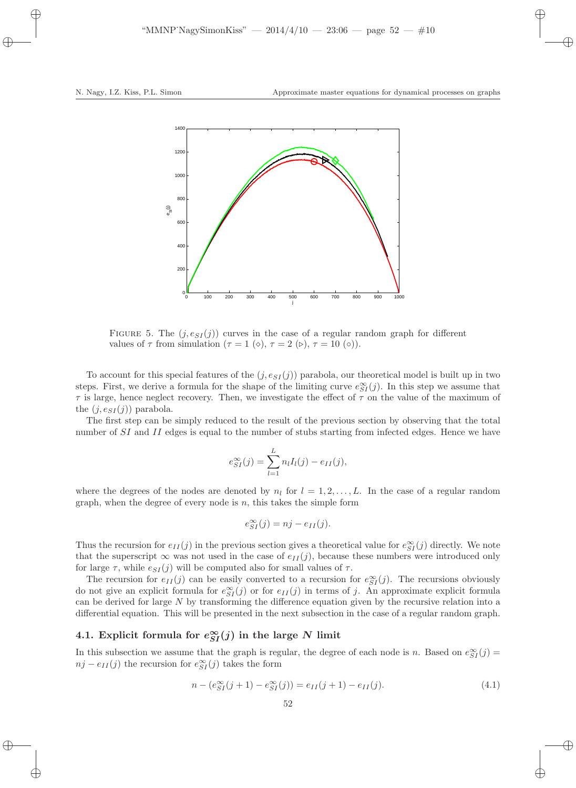

FIGURE 5. The  $(j, e_{SI}(j))$  curves in the case of a regular random graph for different values of  $\tau$  from simulation  $(\tau = 1 \; (\circ), \tau = 2 \; (\circ), \tau = 10 \; (\circ)).$ 

To account for this special features of the  $(j, e_{SI}(j))$  parabola, our theoretical model is built up in two steps. First, we derive a formula for the shape of the limiting curve  $e^{\infty}_{SI}(j)$ . In this step we assume that  $\tau$  is large, hence neglect recovery. Then, we investigate the effect of  $\tau$  on the value of the maximum of the  $(i, e_{SI}(i))$  parabola.

The first step can be simply reduced to the result of the previous section by observing that the total number of SI and II edges is equal to the number of stubs starting from infected edges. Hence we have

$$
e_{SI}^{\infty}(j) = \sum_{l=1}^{L} n_l I_l(j) - e_{II}(j),
$$

where the degrees of the nodes are denoted by  $n_l$  for  $l = 1, 2, \ldots, L$ . In the case of a regular random graph, when the degree of every node is  $n$ , this takes the simple form

$$
e_{SI}^{\infty}(j) = nj - e_{II}(j).
$$

Thus the recursion for  $e_{II}(j)$  in the previous section gives a theoretical value for  $e_{SI}^{\infty}(j)$  directly. We note that the superscript  $\infty$  was not used in the case of  $e_{II}(j)$ , because these numbers were introduced only for large  $\tau$ , while  $e_{SI}(j)$  will be computed also for small values of  $\tau$ .

The recursion for  $e_{II}(j)$  can be easily converted to a recursion for  $e_{SI}^{\infty}(j)$ . The recursions obviously do not give an explicit formula for  $e_{SI}^{\infty}(j)$  or for  $e_{II}(j)$  in terms of j. An approximate explicit formula can be derived for large N by transforming the difference equation given by the recursive relation into a differential equation. This will be presented in the next subsection in the case of a regular random graph.

# 4.1. Explicit formula for  $e_{SI}^{\infty}(j)$  in the large N limit

In this subsection we assume that the graph is regular, the degree of each node is n. Based on  $e_{SI}^{\infty}(j)$  =  $nj - e_{II}(j)$  the recursion for  $e_{SI}^{\infty}(j)$  takes the form

$$
n - (e_{SI}^{\infty}(j+1) - e_{SI}^{\infty}(j)) = e_{II}(j+1) - e_{II}(j).
$$
\n(4.1)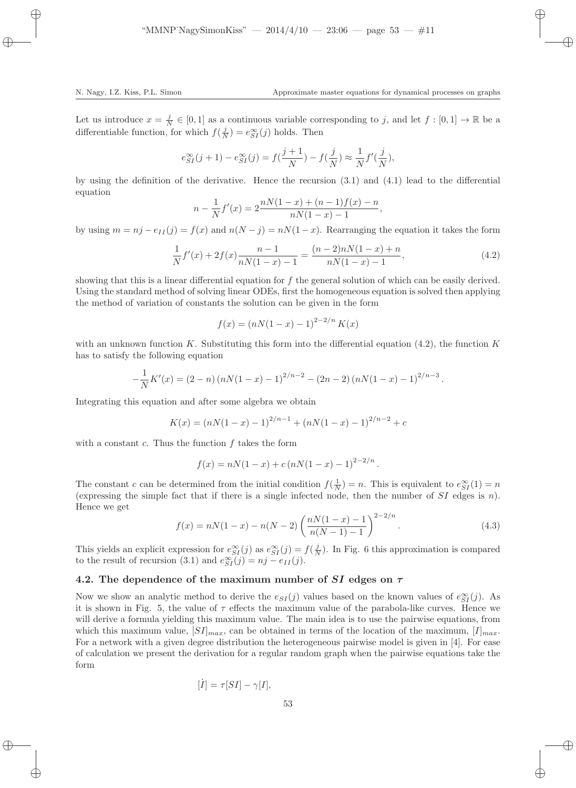Let us introduce  $x = \frac{j}{N} \in [0, 1]$  as a continuous variable corresponding to j, and let  $f : [0, 1] \to \mathbb{R}$  be a differentiable function, for which  $f(\frac{j}{N}) = e^{\infty}_{SI}(j)$  holds. Then

$$
e_{SI}^{\infty}(j + 1) - e_{SI}^{\infty}(j) = f(\frac{j + 1}{N}) - f(\frac{j}{N}) \approx \frac{1}{N} f'(\frac{j}{N}),
$$

by using the definition of the derivative. Hence the recursion (3.1) and (4.1) lead to the differential equation

$$
n - \frac{1}{N}f'(x) = 2\frac{nN(1-x) + (n-1)f(x) - n}{nN(1-x) - 1},
$$

by using  $m = nj - e_{II}(j) = f(x)$  and  $n(N - j) = nN(1 - x)$ . Rearranging the equation it takes the form

$$
\frac{1}{N}f'(x) + 2f(x)\frac{n-1}{nN(1-x) - 1} = \frac{(n-2)nN(1-x) + n}{nN(1-x) - 1},\tag{4.2}
$$

showing that this is a linear differential equation for  $f$  the general solution of which can be easily derived. Using the standard method of solving linear ODEs, first the homogeneous equation is solved then applying the method of variation of constants the solution can be given in the form

$$
f(x) = (nN(1-x) - 1)^{2-2/n} K(x)
$$

with an unknown function K. Substituting this form into the differential equation  $(4.2)$ , the function K has to satisfy the following equation

$$
-\frac{1}{N}K'(x) = (2-n)(nN(1-x)-1)^{2/n-2} - (2n-2)(nN(1-x)-1)^{2/n-3}.
$$

Integrating this equation and after some algebra we obtain

$$
K(x) = (nN(1-x) - 1)^{2/n-1} + (nN(1-x) - 1)^{2/n-2} + c
$$

with a constant  $c$ . Thus the function  $f$  takes the form

$$
f(x) = nN(1 - x) + c (nN(1 - x) - 1)^{2 - 2/n}.
$$

The constant c can be determined from the initial condition  $f(\frac{1}{N}) = n$ . This is equivalent to  $e_{SI}^{\infty}(1) = n$ (expressing the simple fact that if there is a single infected node, then the number of  $SI$  edges is n). Hence we get

$$
f(x) = nN(1-x) - n(N-2) \left(\frac{nN(1-x) - 1}{n(N-1) - 1}\right)^{2-2/n}.
$$
\n(4.3)

This yields an explicit expression for  $e_{SI}^{\infty}(j)$  as  $e_{SI}^{\infty}(j) = f(\frac{j}{N})$ . In Fig. 6 this approximation is compared to the result of recursion (3.1) and  $e^{\infty}_{SI}(j) = nj - e_{II}(j)$ .

#### 4.2. The dependence of the maximum number of SI edges on  $\tau$

Now we show an analytic method to derive the  $e_{SI}(j)$  values based on the known values of  $e_{SI}^{\infty}(j)$ . As it is shown in Fig. 5, the value of  $\tau$  effects the maximum value of the parabola-like curves. Hence we will derive a formula yielding this maximum value. The main idea is to use the pairwise equations, from which this maximum value,  $[SI]_{max}$ , can be obtained in terms of the location of the maximum,  $[I]_{max}$ . For a network with a given degree distribution the heterogeneous pairwise model is given in [4]. For ease of calculation we present the derivation for a regular random graph when the pairwise equations take the form

$$
[\dot{I}] = \tau[SI] - \gamma[I],
$$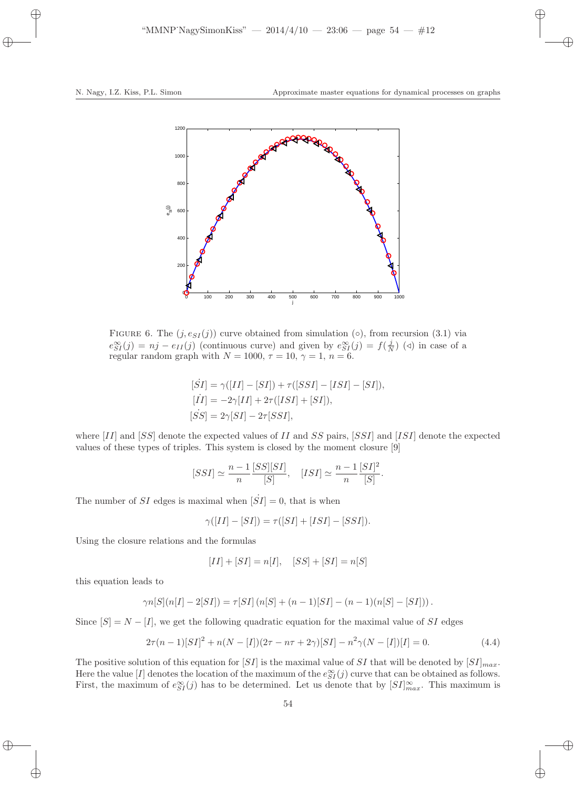

FIGURE 6. The  $(j, e_{SI}(j))$  curve obtained from simulation ( $\circ$ ), from recursion (3.1) via  $e_{SI}^{\infty}(j) = nj - e_{II}(j)$  (continuous curve) and given by  $e_{SI}^{\infty}(j) = f(\frac{j}{N})$  (d) in case of a regular random graph with  $N = 1000$ ,  $\tau = 10$ ,  $\gamma = 1$ ,  $n = 6$ .

$$
[SI] = \gamma([II] - [SI]) + \tau([SSI] - [ISI] - [SI]),
$$
  
\n
$$
[II] = -2\gamma[II] + 2\tau([ISI] + [SI]),
$$
  
\n
$$
[SS] = 2\gamma[SI] - 2\tau[SSI],
$$

where  $[I]$  and  $[SS]$  denote the expected values of II and SS pairs,  $[SSI]$  and  $[IS]$  denote the expected values of these types of triples. This system is closed by the moment closure [9]

$$
[SSI] \simeq \frac{n-1}{n} \frac{[SSI][SI]}{[S]}, \quad [ISI] \simeq \frac{n-1}{n} \frac{[SI]^2}{[S]}.
$$

The number of SI edges is maximal when  $[\dot{S}I] = 0$ , that is when

$$
\gamma([II]-[SI]) = \tau([SI]+[ISI]-[SSI]).
$$

Using the closure relations and the formulas

$$
[II] + [SI] = n[I], \quad [SS] + [SI] = n[S]
$$

this equation leads to

$$
\gamma n[S](n[I] - 2[SI]) = \tau[SI] (n[S] + (n-1)[SI] - (n-1)(n[S] - [SI])) .
$$

Since  $[S] = N - [I]$ , we get the following quadratic equation for the maximal value of SI edges

$$
2\tau(n-1)[SI]^2 + n(N-[I])(2\tau - n\tau + 2\gamma)[SI] - n^2\gamma(N-[I])[I] = 0.
$$
\n(4.4)

The positive solution of this equation for [SI] is the maximal value of SI that will be denoted by  $[SI]_{max}$ . Here the value [I] denotes the location of the maximum of the  $e_{SI}^{\infty}(j)$  curve that can be obtained as follows. First, the maximum of  $e_{SI}^{\infty}(j)$  has to be determined. Let us denote that by  $[SI]_{max}^{\infty}$ . This maximum is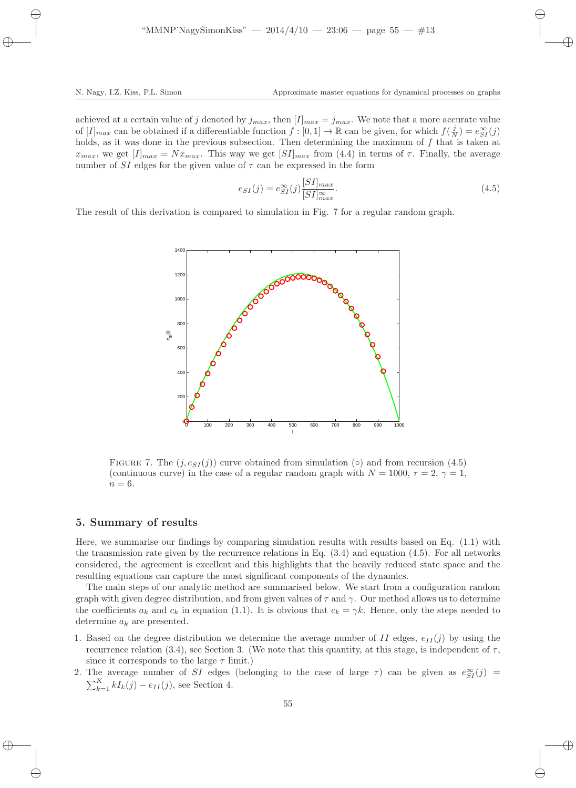achieved at a certain value of j denoted by  $j_{max}$ , then  $[I]_{max} = j_{max}$ . We note that a more accurate value of  $[I]_{max}$  can be obtained if a differentiable function  $f : [0,1] \to \mathbb{R}$  can be given, for which  $f(\frac{j}{N}) = e_{SI}^{\infty}(j)$ holds, as it was done in the previous subsection. Then determining the maximum of f that is taken at  $x_{max}$ , we get  $[I]_{max} = Nx_{max}$ . This way we get  $[SI]_{max}$  from (4.4) in terms of  $\tau$ . Finally, the average number of SI edges for the given value of  $\tau$  can be expressed in the form

$$
e_{SI}(j) = e_{SI}^{\infty}(j) \frac{[SI]_{max}}{[SI]_{max}^{\infty}}.
$$
\n(4.5)

The result of this derivation is compared to simulation in Fig. 7 for a regular random graph.



FIGURE 7. The  $(j, e_{SI}(j))$  curve obtained from simulation ( $\circ$ ) and from recursion (4.5) (continuous curve) in the case of a regular random graph with  $N = 1000, \tau = 2, \gamma = 1$ ,  $n=6$ .

## 5. Summary of results

Here, we summarise our findings by comparing simulation results with results based on Eq. (1.1) with the transmission rate given by the recurrence relations in Eq.  $(3.4)$  and equation  $(4.5)$ . For all networks considered, the agreement is excellent and this highlights that the heavily reduced state space and the resulting equations can capture the most significant components of the dynamics.

The main steps of our analytic method are summarised below. We start from a configuration random graph with given degree distribution, and from given values of  $\tau$  and  $\gamma$ . Our method allows us to determine the coefficients  $a_k$  and  $c_k$  in equation (1.1). It is obvious that  $c_k = \gamma k$ . Hence, only the steps needed to determine  $a_k$  are presented.

- 1. Based on the degree distribution we determine the average number of  $II$  edges,  $e_{II}(j)$  by using the recurrence relation (3.4), see Section 3. (We note that this quantity, at this stage, is independent of  $\tau$ , since it corresponds to the large  $\tau$  limit.)
- 2. The average number of SI edges (belonging to the case of large  $\tau$ ) can be given as  $e^{\infty}_{SI}(j)$  =  $\sum_{k=1}^{K} kI_k(j) - e_{II}(j)$ , see Section 4.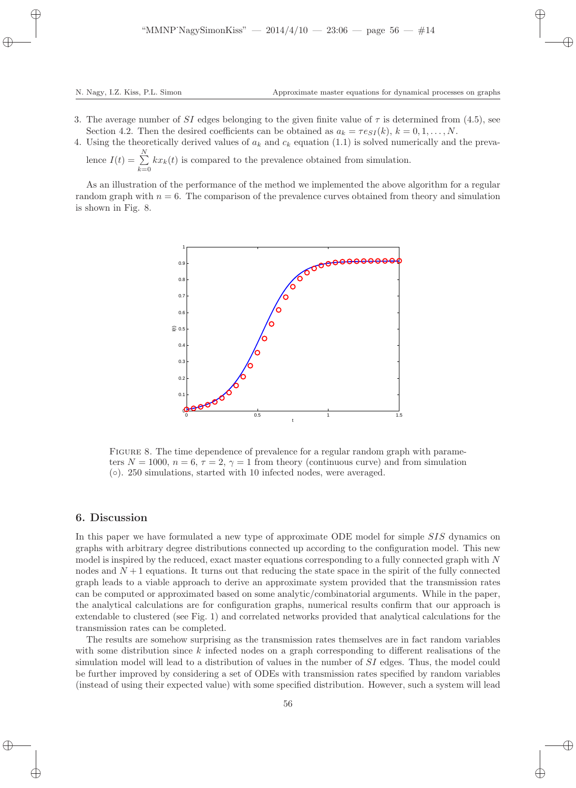- 3. The average number of SI edges belonging to the given finite value of  $\tau$  is determined from (4.5), see Section 4.2. Then the desired coefficients can be obtained as  $a_k = \tau e_{SI}(k)$ ,  $k = 0, 1, \ldots, N$ .
- 4. Using the theoretically derived values of  $a_k$  and  $c_k$  equation (1.1) is solved numerically and the prevalence  $I(t) = \sum_{n=1}^{N}$  $\sum_{k=0} kx_k(t)$  is compared to the prevalence obtained from simulation.

As an illustration of the performance of the method we implemented the above algorithm for a regular random graph with  $n = 6$ . The comparison of the prevalence curves obtained from theory and simulation is shown in Fig. 8.



FIGURE 8. The time dependence of prevalence for a regular random graph with parameters  $N = 1000$ ,  $n = 6$ ,  $\tau = 2$ ,  $\gamma = 1$  from theory (continuous curve) and from simulation (◦). 250 simulations, started with 10 infected nodes, were averaged.

# 6. Discussion

In this paper we have formulated a new type of approximate ODE model for simple SIS dynamics on graphs with arbitrary degree distributions connected up according to the configuration model. This new model is inspired by the reduced, exact master equations corresponding to a fully connected graph with  $N$ nodes and  $N+1$  equations. It turns out that reducing the state space in the spirit of the fully connected graph leads to a viable approach to derive an approximate system provided that the transmission rates can be computed or approximated based on some analytic/combinatorial arguments. While in the paper, the analytical calculations are for configuration graphs, numerical results confirm that our approach is extendable to clustered (see Fig. 1) and correlated networks provided that analytical calculations for the transmission rates can be completed.

The results are somehow surprising as the transmission rates themselves are in fact random variables with some distribution since k infected nodes on a graph corresponding to different realisations of the simulation model will lead to a distribution of values in the number of SI edges. Thus, the model could be further improved by considering a set of ODEs with transmission rates specified by random variables (instead of using their expected value) with some specified distribution. However, such a system will lead